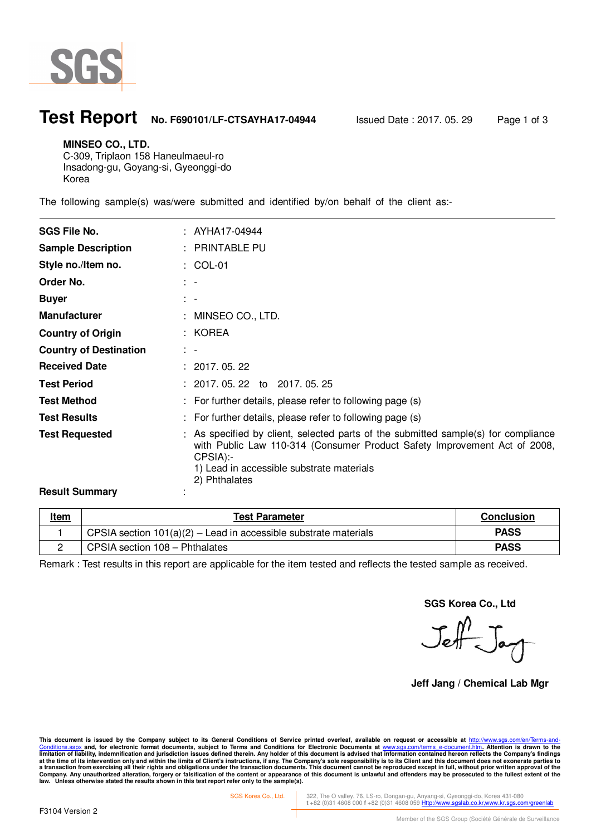

 $\ddot{\phantom{a}}$ 

## **Test Report No. F690101/LF-CTSAYHA17-04944** Issued Date : 2017. 05. 29 Page 1 of 3

#### **MINSEO CO., LTD.**

C-309, Triplaon 158 Haneulmaeul-ro Insadong-gu, Goyang-si, Gyeonggi-do Korea

The following sample(s) was/were submitted and identified by/on behalf of the client as:-

| <b>SGS File No.</b>           |                           | : AYHA17-04944                                                                                                                                                                                                                            |
|-------------------------------|---------------------------|-------------------------------------------------------------------------------------------------------------------------------------------------------------------------------------------------------------------------------------------|
| <b>Sample Description</b>     |                           | : PRINTABLE PU                                                                                                                                                                                                                            |
| Style no./Item no.            |                           | $: COL-01$                                                                                                                                                                                                                                |
| Order No.                     | $\mathcal{L}=\mathcal{L}$ |                                                                                                                                                                                                                                           |
| <b>Buyer</b>                  |                           | $\mathbb{R}^n$                                                                                                                                                                                                                            |
| <b>Manufacturer</b>           |                           | : MINSEO CO., LTD.                                                                                                                                                                                                                        |
| <b>Country of Origin</b>      |                           | : KOREA                                                                                                                                                                                                                                   |
| <b>Country of Destination</b> | $\mathbb{R}^n$            |                                                                                                                                                                                                                                           |
| <b>Received Date</b>          |                           | : 2017.05.22                                                                                                                                                                                                                              |
| <b>Test Period</b>            |                           | $: 2017, 05, 22$ to 2017, 05, 25                                                                                                                                                                                                          |
| <b>Test Method</b>            |                           | : For further details, please refer to following page (s)                                                                                                                                                                                 |
| <b>Test Results</b>           |                           | : For further details, please refer to following page (s)                                                                                                                                                                                 |
| <b>Test Requested</b>         |                           | : As specified by client, selected parts of the submitted sample(s) for compliance<br>with Public Law 110-314 (Consumer Product Safety Improvement Act of 2008,<br>CPSIA):-<br>1) Lead in accessible substrate materials<br>2) Phthalates |
| <b>Result Summary</b>         |                           |                                                                                                                                                                                                                                           |

| <u>Item</u> | <b>Test Parameter</b>                                              | <b>Conclusion</b> |
|-------------|--------------------------------------------------------------------|-------------------|
|             | CPSIA section $101(a)(2)$ – Lead in accessible substrate materials | <b>PASS</b>       |
|             | CPSIA section 108 - Phthalates                                     | <b>PASS</b>       |

Remark : Test results in this report are applicable for the item tested and reflects the tested sample as received.

**SGS Korea Co., Ltd** 

Jeff Jay

**Jeff Jang / Chemical Lab Mgr** 

This document is issued by the Company subject to its General Conditions of Service printed overleaf, available on request or accessible at <u>http://www.sgs.com/en/Terms-and-</u><br><u>Conditions.aspx </u>and, for electronic format do limitation of liability, indemnification and jurisdiction issues defined therein. Any holder of this document is advised that information contained hereon reflects the Company's findings<br>at the time of its intervention onl

SGS Korea Co., Ltd. 322, The O valley, 76, LS-ro, Dongan-gu, Anyang-si, Gyeonggi-do, Korea 431-080 **t** +82 (0)31 4608 000 **f** +82 (0)31 4608 059 Http://www.sgslab.co.kr,www.kr.sgs.com/greenlab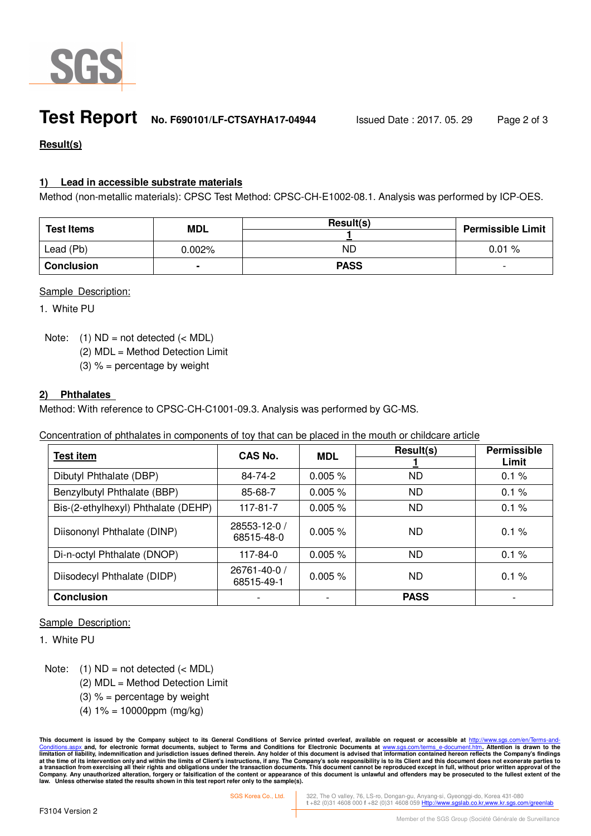

## **Test Report No. F690101/LF-CTSAYHA17-04944** Issued Date : 2017. 05. 29 Page 2 of 3

### **Result(s)**

### **1) Lead in accessible substrate materials**

Method (non-metallic materials): CPSC Test Method: CPSC-CH-E1002-08.1. Analysis was performed by ICP-OES.

| <b>Test Items</b> | <b>MDL</b> | Result(s)   | <b>Permissible Limit</b> |
|-------------------|------------|-------------|--------------------------|
| Lead (Pb)         | $0.002\%$  | ND          | 0.01%                    |
| <b>Conclusion</b> | ٠          | <b>PASS</b> | $\overline{\phantom{0}}$ |

#### Sample Description:

1. White PU

Note:  $(1)$  ND = not detected  $(<sub>MDL</sub>)$ 

(2) MDL = Method Detection Limit

(3)  $% =$  percentage by weight

#### **2) Phthalates**

Method: With reference to CPSC-CH-C1001-09.3. Analysis was performed by GC-MS.

Concentration of phthalates in components of toy that can be placed in the mouth or childcare article

| <b>Test item</b>                    | CAS No.                    | <b>MDL</b> | Result(s)   | Permissible<br>Limit |
|-------------------------------------|----------------------------|------------|-------------|----------------------|
| Dibutyl Phthalate (DBP)             | 84-74-2                    | $0.005 \%$ | ND          | 0.1%                 |
| Benzylbutyl Phthalate (BBP)         | 85-68-7                    | $0.005 \%$ | ND.         | 0.1%                 |
| Bis-(2-ethylhexyl) Phthalate (DEHP) | 117-81-7                   | $0.005 \%$ | <b>ND</b>   | 0.1%                 |
| Diisononyl Phthalate (DINP)         | 28553-12-0 /<br>68515-48-0 | $0.005 \%$ | ND.         | 0.1%                 |
| Di-n-octyl Phthalate (DNOP)         | 117-84-0                   | $0.005 \%$ | <b>ND</b>   | 0.1%                 |
| Diisodecyl Phthalate (DIDP)         | 26761-40-0 /<br>68515-49-1 | 0.005%     | <b>ND</b>   | 0.1%                 |
| <b>Conclusion</b>                   |                            |            | <b>PASS</b> |                      |

#### Sample Description:

1. White PU

Note:  $(1)$  ND = not detected  $(<sub>MDL</sub>)$ 

- (2) MDL = Method Detection Limit
- (3)  $% =$  percentage by weight
- $(4) 1\% = 10000$ ppm (mg/kg)

This document is issued by the Company subject to its General Conditions of Service printed overleaf, available on request or accessible at <u>http://www.sgs.com/en/Terms-and-</u><br><u>Conditions.aspx </u>and, for electronic format do limitation of liability, indemnification and jurisdiction issues defined therein. Any holder of this document is advised that information contained hereon reflects the Company's findings<br>at the time of its intervention onl